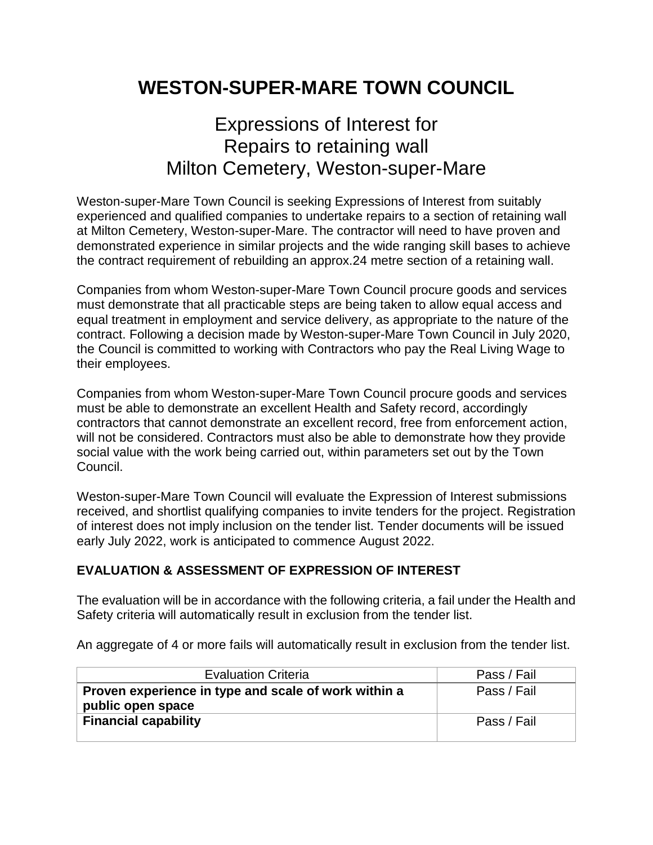## **WESTON-SUPER-MARE TOWN COUNCIL**

## Expressions of Interest for Repairs to retaining wall Milton Cemetery, Weston-super-Mare

Weston-super-Mare Town Council is seeking Expressions of Interest from suitably experienced and qualified companies to undertake repairs to a section of retaining wall at Milton Cemetery, Weston-super-Mare. The contractor will need to have proven and demonstrated experience in similar projects and the wide ranging skill bases to achieve the contract requirement of rebuilding an approx.24 metre section of a retaining wall.

Companies from whom Weston-super-Mare Town Council procure goods and services must demonstrate that all practicable steps are being taken to allow equal access and equal treatment in employment and service delivery, as appropriate to the nature of the contract. Following a decision made by Weston-super-Mare Town Council in July 2020, the Council is committed to working with Contractors who pay the Real Living Wage to their employees.

Companies from whom Weston-super-Mare Town Council procure goods and services must be able to demonstrate an excellent Health and Safety record, accordingly contractors that cannot demonstrate an excellent record, free from enforcement action, will not be considered. Contractors must also be able to demonstrate how they provide social value with the work being carried out, within parameters set out by the Town Council.

Weston-super-Mare Town Council will evaluate the Expression of Interest submissions received, and shortlist qualifying companies to invite tenders for the project. Registration of interest does not imply inclusion on the tender list. Tender documents will be issued early July 2022, work is anticipated to commence August 2022.

## **EVALUATION & ASSESSMENT OF EXPRESSION OF INTEREST**

The evaluation will be in accordance with the following criteria, a fail under the Health and Safety criteria will automatically result in exclusion from the tender list.

An aggregate of 4 or more fails will automatically result in exclusion from the tender list.

| <b>Evaluation Criteria</b>                                                | Pass / Fail |
|---------------------------------------------------------------------------|-------------|
| Proven experience in type and scale of work within a<br>public open space | Pass / Fail |
| <b>Financial capability</b>                                               | Pass / Fail |